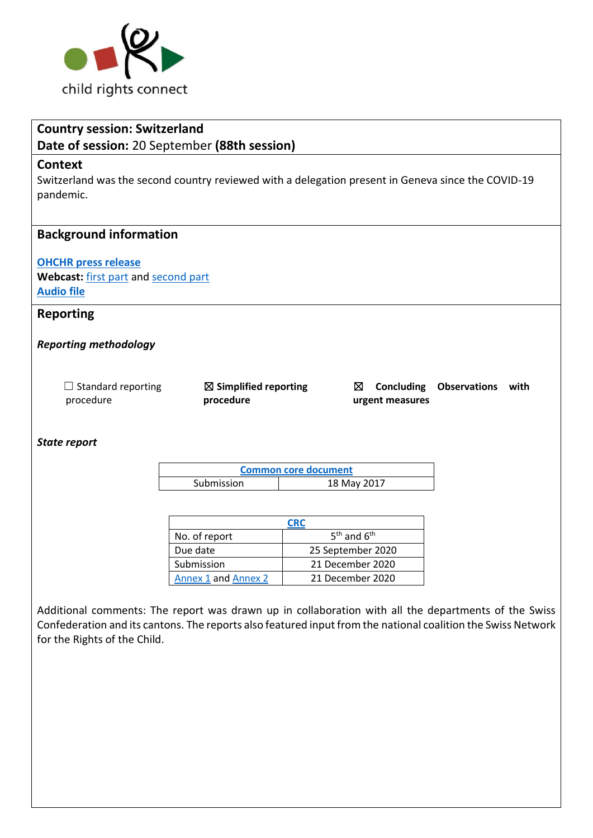

# **Country session: Switzerland**

**Date of session:** 20 September **(88th session)**

### **Context**

Switzerland was the second country reviewed with a delegation present in Geneva since the COVID-19 pandemic.

# **Background information**

# **[OHCHR press release](https://www.ohchr.org/EN/NewsEvents/Pages/DisplayNews.aspx?NewsID=27496&LangID=E)**

**Webcast:** [first part](https://media.un.org/en/asset/k15/k15j9qf8uf) an[d second part](https://media.un.org/en/asset/k1n/k1nomm95h6) **[Audio file](https://conf.unog.ch/digitalrecordings/)**

# **Reporting**

### *Reporting methodology*

| $\Box$ Standard reporting |  |
|---------------------------|--|
| procedure                 |  |

☒ **Simplified reporting procedure** 

☒ **Concluding Observations with urgent measures**

#### *State report*

**[Common core document](https://tbinternet.ohchr.org/_layouts/15/treatybodyexternal/Download.aspx?symbolno=HRI%2fCORE%2fCHE%2f2017&Lang=en)** Submission 18 May 2017

| CRC                 |                   |  |
|---------------------|-------------------|--|
| No. of report       | $5th$ and $6th$   |  |
| Due date            | 25 September 2020 |  |
| Submission          | 21 December 2020  |  |
| Annex 1 and Annex 2 | 21 December 2020  |  |

Additional comments: The report was drawn up in collaboration with all the departments of the Swiss Confederation and its cantons. The reports also featured input from the national coalition the Swiss Network for the Rights of the Child.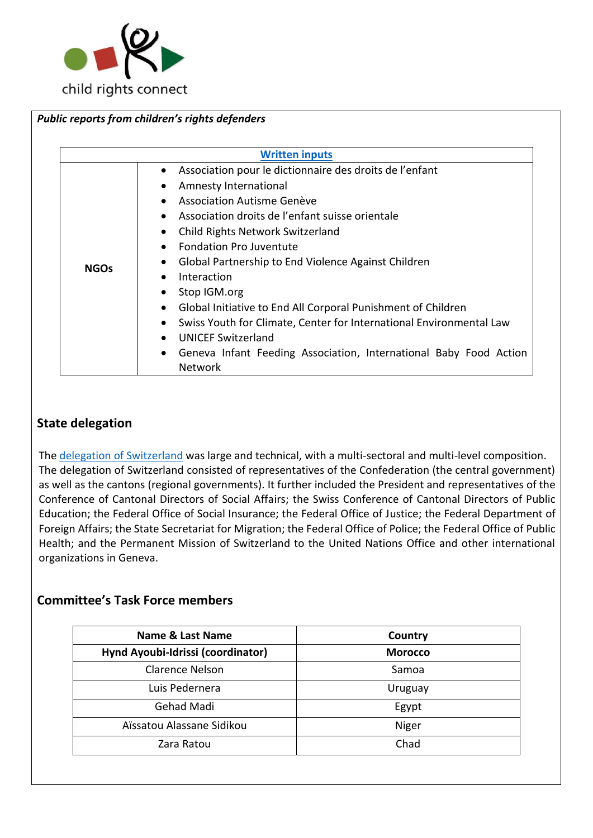

|             | <b>Written inputs</b>                                                                                                                                                                                                                                                                                                                                                                                                                                                                                                                                                                                            |
|-------------|------------------------------------------------------------------------------------------------------------------------------------------------------------------------------------------------------------------------------------------------------------------------------------------------------------------------------------------------------------------------------------------------------------------------------------------------------------------------------------------------------------------------------------------------------------------------------------------------------------------|
| <b>NGOs</b> | Association pour le dictionnaire des droits de l'enfant<br>Amnesty International<br>Association Autisme Genève<br>Association droits de l'enfant suisse orientale<br>Child Rights Network Switzerland<br><b>Fondation Pro Juventute</b><br>$\bullet$<br>Global Partnership to End Violence Against Children<br>Interaction<br>Stop IGM.org<br>Global Initiative to End All Corporal Punishment of Children<br>$\bullet$<br>Swiss Youth for Climate, Center for International Environmental Law<br><b>UNICEF Switzerland</b><br>Geneva Infant Feeding Association, International Baby Food Action<br>٠<br>Network |

# **State delegation**

The [delegation of](https://tbinternet.ohchr.org/_layouts/15/treatybodyexternal/Download.aspx?symbolno=INT%2fCRC%2fLOP%2fCHE%2f46717&Lang=en) Switzerland was large and technical, with a multi-sectoral and multi-level composition. The delegation of Switzerland consisted of representatives of the Confederation (the central government) as well as the cantons (regional governments). It further included the President and representatives of the Conference of Cantonal Directors of Social Affairs; the Swiss Conference of Cantonal Directors of Public Education; the Federal Office of Social Insurance; the Federal Office of Justice; the Federal Department of Foreign Affairs; the State Secretariat for Migration; the Federal Office of Police; the Federal Office of Public Health; and the Permanent Mission of Switzerland to the United Nations Office and other international organizations in Geneva.

# **Committee's Task Force members**

| Name & Last Name                  | Country        |
|-----------------------------------|----------------|
| Hynd Ayoubi-Idrissi (coordinator) | <b>Morocco</b> |
| Clarence Nelson                   | Samoa          |
| Luis Pedernera                    | Uruguay        |
| Gehad Madi                        | Egypt          |
| Aïssatou Alassane Sidikou         | Niger          |
| Zara Ratou                        | Chad           |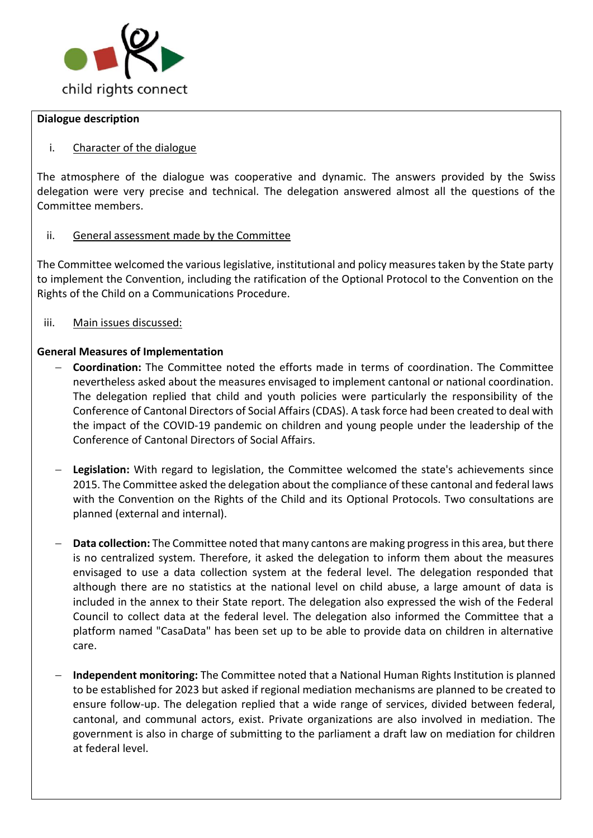

#### **Dialogue description**

# i. Character of the dialogue

The atmosphere of the dialogue was cooperative and dynamic. The answers provided by the Swiss delegation were very precise and technical. The delegation answered almost all the questions of the Committee members.

# ii. General assessment made by the Committee

The Committee welcomed the various legislative, institutional and policy measures taken by the State party to implement the Convention, including the ratification of the Optional Protocol to the Convention on the Rights of the Child on a Communications Procedure.

iii. Main issues discussed:

# **General Measures of Implementation**

- − **Coordination:** The Committee noted the efforts made in terms of coordination. The Committee nevertheless asked about the measures envisaged to implement cantonal or national coordination. The delegation replied that child and youth policies were particularly the responsibility of the Conference of Cantonal Directors of Social Affairs (CDAS). A task force had been created to deal with the impact of the COVID-19 pandemic on children and young people under the leadership of the Conference of Cantonal Directors of Social Affairs.
- − **Legislation:** With regard to legislation, the Committee welcomed the state's achievements since 2015. The Committee asked the delegation about the compliance of these cantonal and federal laws with the Convention on the Rights of the Child and its Optional Protocols. Two consultations are planned (external and internal).
- − **Data collection:** The Committee noted that many cantons are making progress in this area, but there is no centralized system. Therefore, it asked the delegation to inform them about the measures envisaged to use a data collection system at the federal level. The delegation responded that although there are no statistics at the national level on child abuse, a large amount of data is included in the annex to their State report. The delegation also expressed the wish of the Federal Council to collect data at the federal level. The delegation also informed the Committee that a platform named "CasaData" has been set up to be able to provide data on children in alternative care.
- − **Independent monitoring:** The Committee noted that a National Human Rights Institution is planned to be established for 2023 but asked if regional mediation mechanisms are planned to be created to ensure follow-up. The delegation replied that a wide range of services, divided between federal, cantonal, and communal actors, exist. Private organizations are also involved in mediation. The government is also in charge of submitting to the parliament a draft law on mediation for children at federal level.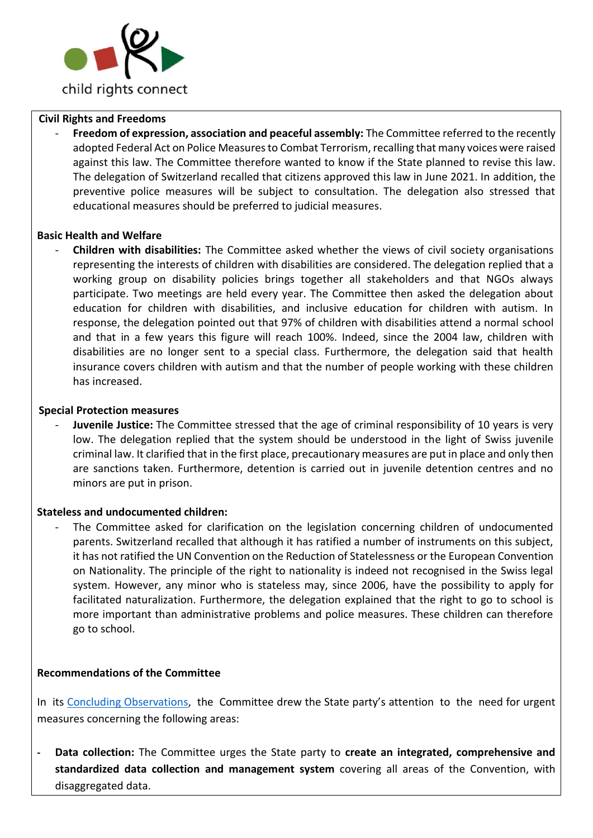

### **Civil Rights and Freedoms**

- **Freedom of expression, association and peaceful assembly:** The Committee referred to the recently adopted Federal Act on Police Measures to Combat Terrorism, recalling that many voices were raised against this law. The Committee therefore wanted to know if the State planned to revise this law. The delegation of Switzerland recalled that citizens approved this law in June 2021. In addition, the preventive police measures will be subject to consultation. The delegation also stressed that educational measures should be preferred to judicial measures.

#### **Basic Health and Welfare**

- **Children with disabilities:** The Committee asked whether the views of civil society organisations representing the interests of children with disabilities are considered. The delegation replied that a working group on disability policies brings together all stakeholders and that NGOs always participate. Two meetings are held every year. The Committee then asked the delegation about education for children with disabilities, and inclusive education for children with autism. In response, the delegation pointed out that 97% of children with disabilities attend a normal school and that in a few years this figure will reach 100%. Indeed, since the 2004 law, children with disabilities are no longer sent to a special class. Furthermore, the delegation said that health insurance covers children with autism and that the number of people working with these children has increased.

#### **Special Protection measures**

- **Juvenile Justice:** The Committee stressed that the age of criminal responsibility of 10 years is very low. The delegation replied that the system should be understood in the light of Swiss juvenile criminal law. It clarified that in the first place, precautionary measures are put in place and only then are sanctions taken. Furthermore, detention is carried out in juvenile detention centres and no minors are put in prison.

#### **Stateless and undocumented children:**

The Committee asked for clarification on the legislation concerning children of undocumented parents. Switzerland recalled that although it has ratified a number of instruments on this subject, it has not ratified the UN Convention on the Reduction of Statelessness or the European Convention on Nationality. The principle of the right to nationality is indeed not recognised in the Swiss legal system. However, any minor who is stateless may, since 2006, have the possibility to apply for facilitated naturalization. Furthermore, the delegation explained that the right to go to school is more important than administrative problems and police measures. These children can therefore go to school.

#### **Recommendations of the Committee**

In its [Concluding Observations,](https://tbinternet.ohchr.org/_layouts/15/treatybodyexternal/Download.aspx?symbolno=CRC%2fC%2fCHE%2fCO%2f5-6&Lang=en) the Committee drew the State party's attention to the need for urgent measures concerning the following areas:

**- Data collection:** The Committee urges the State party to **create an integrated, comprehensive and standardized data collection and management system** covering all areas of the Convention, with disaggregated data.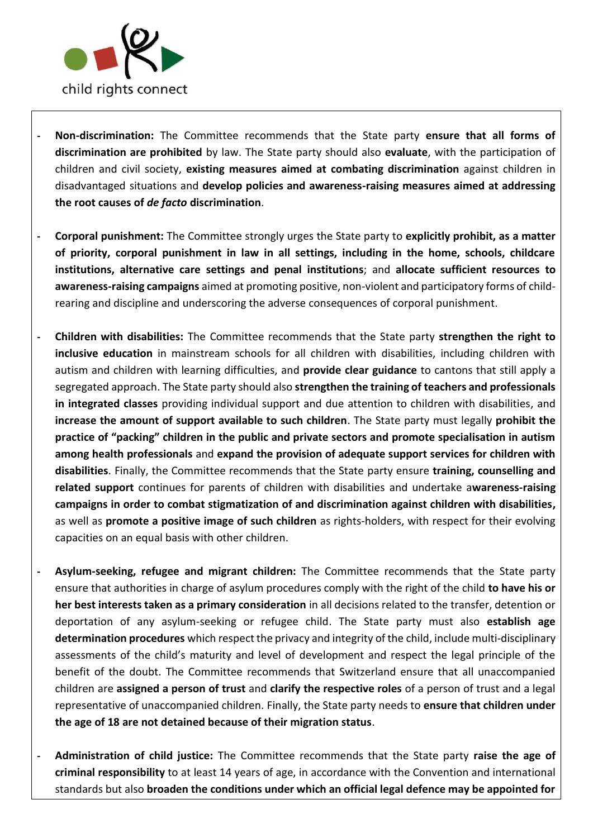

- **- Non-discrimination:** The Committee recommends that the State party **ensure that all forms of discrimination are prohibited** by law. The State party should also **evaluate**, with the participation of children and civil society, **existing measures aimed at combating discrimination** against children in disadvantaged situations and **develop policies and awareness-raising measures aimed at addressing the root causes of** *de facto* **discrimination**.
- **- Corporal punishment:** The Committee strongly urges the State party to **explicitly prohibit, as a matter of priority, corporal punishment in law in all settings, including in the home, schools, childcare institutions, alternative care settings and penal institutions**; and **allocate sufficient resources to awareness-raising campaigns** aimed at promoting positive, non-violent and participatory forms of childrearing and discipline and underscoring the adverse consequences of corporal punishment.
- **- Children with disabilities:** The Committee recommends that the State party **strengthen the right to inclusive education** in mainstream schools for all children with disabilities, including children with autism and children with learning difficulties, and **provide clear guidance** to cantons that still apply a segregated approach. The State party should also **strengthen the training of teachers and professionals in integrated classes** providing individual support and due attention to children with disabilities, and **increase the amount of support available to such children**. The State party must legally **prohibit the practice of "packing" children in the public and private sectors and promote specialisation in autism among health professionals** and **expand the provision of adequate support services for children with disabilities**. Finally, the Committee recommends that the State party ensure **training, counselling and related support** continues for parents of children with disabilities and undertake a**wareness-raising campaigns in order to combat stigmatization of and discrimination against children with disabilities,**  as well as **promote a positive image of such children** as rights-holders, with respect for their evolving capacities on an equal basis with other children.
- **- Asylum-seeking, refugee and migrant children:** The Committee recommends that the State party ensure that authorities in charge of asylum procedures comply with the right of the child **to have his or her best interests taken as a primary consideration** in all decisions related to the transfer, detention or deportation of any asylum-seeking or refugee child. The State party must also **establish age determination procedures** which respect the privacy and integrity of the child, include multi-disciplinary assessments of the child's maturity and level of development and respect the legal principle of the benefit of the doubt. The Committee recommends that Switzerland ensure that all unaccompanied children are **assigned a person of trust** and **clarify the respective roles** of a person of trust and a legal representative of unaccompanied children. Finally, the State party needs to **ensure that children under the age of 18 are not detained because of their migration status**.
- **- Administration of child justice:** The Committee recommends that the State party **raise the age of criminal responsibility** to at least 14 years of age, in accordance with the Convention and international standards but also **broaden the conditions under which an official legal defence may be appointed for**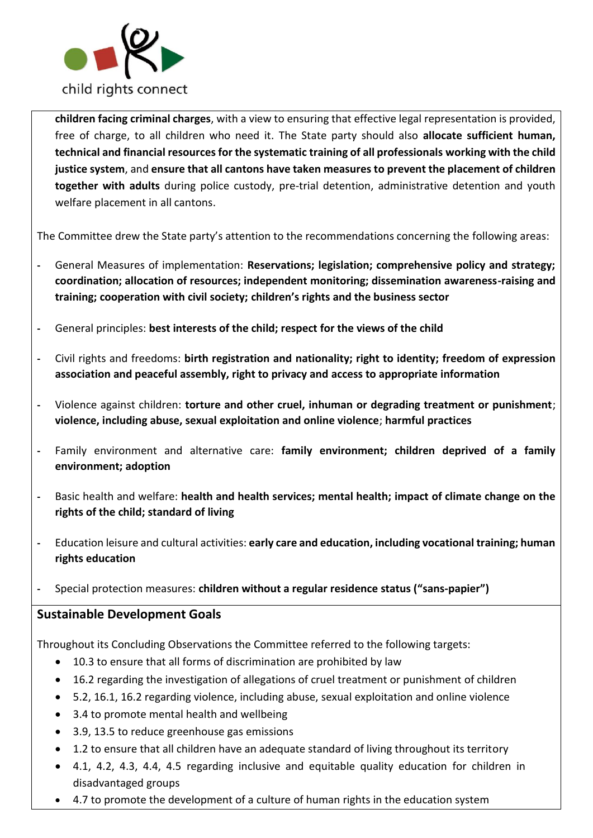

**children facing criminal charges**, with a view to ensuring that effective legal representation is provided, free of charge, to all children who need it. The State party should also **allocate sufficient human, technical and financial resources for the systematic training of all professionals working with the child justice system**, and **ensure that all cantons have taken measures to prevent the placement of children together with adults** during police custody, pre-trial detention, administrative detention and youth welfare placement in all cantons.

The Committee drew the State party's attention to the recommendations concerning the following areas:

- **-** General Measures of implementation: **Reservations; legislation; comprehensive policy and strategy; coordination; allocation of resources; independent monitoring; dissemination awareness-raising and training; cooperation with civil society; children's rights and the business sector**
- **-** General principles: **best interests of the child; respect for the views of the child**
- **-** Civil rights and freedoms: **birth registration and nationality; right to identity; freedom of expression association and peaceful assembly, right to privacy and access to appropriate information**
- **-** Violence against children: **torture and other cruel, inhuman or degrading treatment or punishment**; **violence, including abuse, sexual exploitation and online violence**; **harmful practices**
- **-** Family environment and alternative care: **family environment; children deprived of a family environment; adoption**
- **-** Basic health and welfare: **health and health services; mental health; impact of climate change on the rights of the child; standard of living**
- **-** Education leisure and cultural activities: **early care and education, including vocational training; human rights education**
- **-** Special protection measures: **children without a regular residence status ("sans-papier")**

# **Sustainable Development Goals**

Throughout its Concluding Observations the Committee referred to the following targets:

- 10.3 to ensure that all forms of discrimination are prohibited by law
- 16.2 regarding the investigation of allegations of cruel treatment or punishment of children
- 5.2, 16.1, 16.2 regarding violence, including abuse, sexual exploitation and online violence
- 3.4 to promote mental health and wellbeing
- 3.9, 13.5 to reduce greenhouse gas emissions
- 1.2 to ensure that all children have an adequate standard of living throughout its territory
- 4.1, 4.2, 4.3, 4.4, 4.5 regarding inclusive and equitable quality education for children in disadvantaged groups
- 4.7 to promote the development of a culture of human rights in the education system